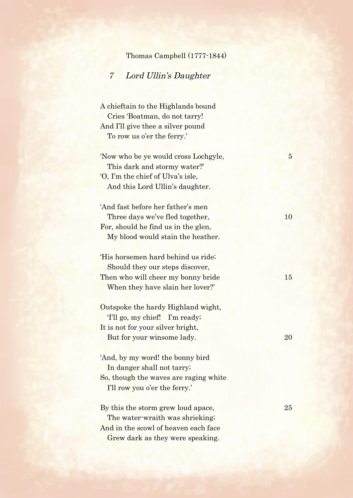## Thomas Campbell (1777-1844)

## 7 Lord Ullin's Daughter

 A chieftain to the Highlands bound Cries 'Boatman, do not tarry! And I'll give thee a silver pound To row us o'er the ferry.'

'Now who be ye would cross Lochgyle, 5 This dark and stormy water?' 'O, I'm the chief of Ulva's isle, And this Lord Ullin's daughter.

'And fast before her father's men Three days we've fled together, 10 For, should he find us in the glen, My blood would stain the heather.

'His horsemen hard behind us ride; Should they our steps discover, Then who will cheer my bonny bride 15 When they have slain her lover?'

Outspoke the hardy Highland wight, 'I'll go, my chief! I'm ready; It is not for your silver bright, But for your winsome lady. 20

'And, by my word! the bonny bird In danger shall not tarry; So, though the waves are raging white I'll row you o'er the ferry.'

By this the storm grew loud apace, 25 The water-wraith was shrieking; And in the scowl of heaven each face Grew dark as they were speaking.